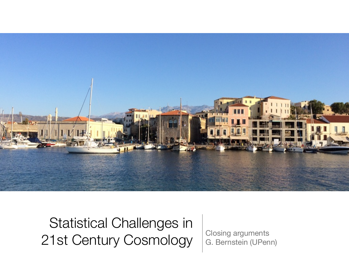

Statistical Challenges in 21st Century Cosmology G. Bernstein (UPen

G. Bernstein (UPenn)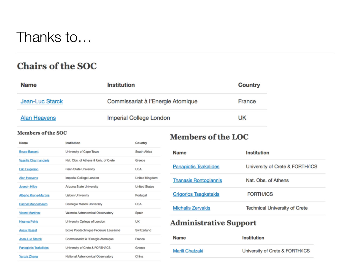### Thanks to…

### **Chairs of the SOC**

| <b>Name</b>         | <b>Institution</b>                | <b>Country</b> |
|---------------------|-----------------------------------|----------------|
| Jean-Luc Starck     | Commissariat à l'Energie Atomique | France         |
| <b>Alan Heavens</b> | Imperial College London           | UK             |

#### Members of the SOC

| Name                         | Institution                           | Country              |
|------------------------------|---------------------------------------|----------------------|
| <b>Bruce Bassett</b>         | University of Cape Town               | South Africa         |
| Vassilis Charmandaris        | Nat. Obs. of Athens & Univ. of Crete  | Greece               |
| <b>Eric Feigelson</b>        | Penn State University                 | <b>USA</b>           |
| Alan Heavens                 | Imperial College London               | United Kingdom       |
| <b>Joseph Hilbe</b>          | Arizona State University              | <b>United States</b> |
| <b>Alberto Krone-Martins</b> | <b>Lisbon University</b>              | Portugal             |
| Rachel Mandelbaum            | Carnegie Mellon University            | <b>USA</b>           |
| <b>Vicent Martinez</b>       | Valencia Astronomical Observatory     | Spain                |
| <b>Hiranya Peiris</b>        | University College of London          | UK                   |
| <b>Anais Rassat</b>          | Ecole Polytechnique Federale Lausanne | Switzerland          |
| Jean-Luc Starck              | Commissariat à l'Energie Atomique     | France               |
| <b>Panagiotis Tsakalides</b> | University of Crete & FORTH/ICS       | Greece               |
| Yanxia Zhang                 | National Astronomical Observatory     | China                |

### **Members of the LOC**

| <b>Name</b>                  | <b>Institution</b>                   |
|------------------------------|--------------------------------------|
| <b>Panagiotis Tsakalides</b> | University of Crete & FORTH/ICS      |
| <b>Thanasis Rontogiannis</b> | Nat. Obs. of Athens                  |
| <b>Grigorios Tsagkatakis</b> | <b>FORTH/ICS</b>                     |
| <b>Michalis Zervakis</b>     | <b>Technical University of Crete</b> |
|                              |                                      |

### **Administrative Support**

| <b>Name</b>            | <b>Institution</b>              |
|------------------------|---------------------------------|
| <b>Marili Chatzaki</b> | University of Crete & FORTH/ICS |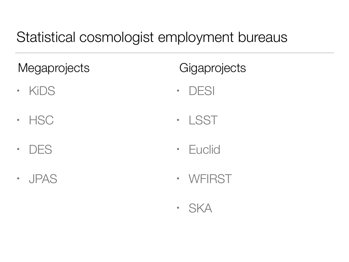## Statistical cosmologist employment bureaus

**Megaprojects** 

- KiDS
- HSC
- DES
- JPAS

**Gigaprojects** 

- DESI
- LSST
- Euclid
- WFIRST
- SKA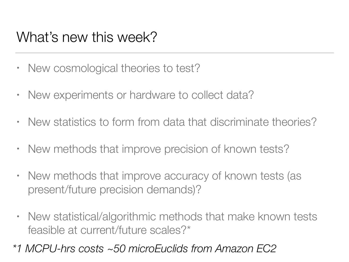## What's new this week?

- New cosmological theories to test?
- New experiments or hardware to collect data?
- New statistics to form from data that discriminate theories?
- New methods that improve precision of known tests?
- New methods that improve accuracy of known tests (as present/future precision demands)?
- New statistical/algorithmic methods that make known tests feasible at current/future scales?\*
- *\*1 MCPU-hrs costs ~50 microEuclids from Amazon EC2*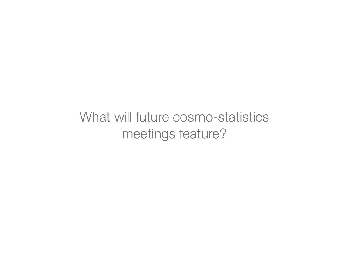What will future cosmo-statistics meetings feature?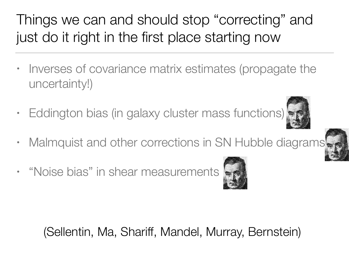# Things we can and should stop "correcting" and just do it right in the first place starting now

- Inverses of covariance matrix estimates (propagate the uncertainty!)
- Eddington bias (in galaxy cluster mass functions)
- Malmquist and other corrections in SN Hubble diagrams
- "Noise bias" in shear measurements



(Sellentin, Ma, Shariff, Mandel, Murray, Bernstein)



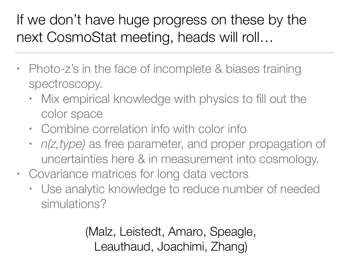# If we don't have huge progress on these by the next CosmoStat meeting, heads will roll…

- Photo-z's in the face of incomplete & biases training spectroscopy.
	- Mix empirical knowledge with physics to fill out the color space
	- Combine correlation info with color info
	- *n(z,type)* as free parameter, and proper propagation of uncertainties here & in measurement into cosmology.
- Covariance matrices for long data vectors
	- Use analytic knowledge to reduce number of needed simulations?

(Malz, Leistedt, Amaro, Speagle, Leauthaud, Joachimi, Zhang)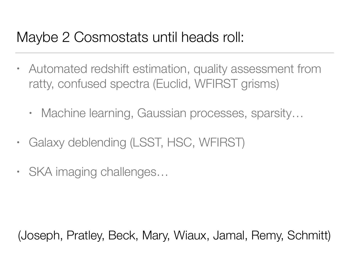## Maybe 2 Cosmostats until heads roll:

- Automated redshift estimation, quality assessment from ratty, confused spectra (Euclid, WFIRST grisms)
	- Machine learning, Gaussian processes, sparsity...
- Galaxy deblending (LSST, HSC, WFIRST)
- SKA imaging challenges...

(Joseph, Pratley, Beck, Mary, Wiaux, Jamal, Remy, Schmitt)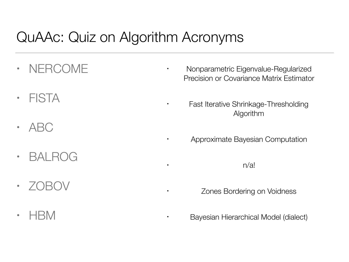## QuAAc: Quiz on Algorithm Acronyms

- NERCOME
- FISTA
- ABC
- BALROG
- $\cdot$  /OBOV
- HBM
- Nonparametric Eigenvalue-Regularized Precision or Covariance Matrix Estimator
	- Fast Iterative Shrinkage-Thresholding Algorithm
	- Approximate Bayesian Computation

 $n/a!$ 

Zones Bordering on Voidness

• Bayesian Hierarchical Model (dialect)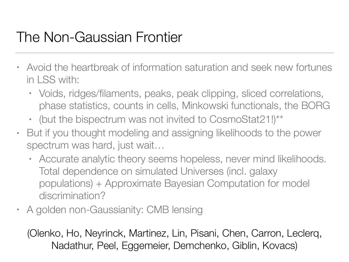## The Non-Gaussian Frontier

- Avoid the heartbreak of information saturation and seek new fortunes in LSS with:
	- Voids, ridges/filaments, peaks, peak clipping, sliced correlations, phase statistics, counts in cells, Minkowski functionals, the BORG
	- (but the bispectrum was not invited to CosmoStat21!)\*\*
- But if you thought modeling and assigning likelihoods to the power spectrum was hard, just wait…
	- Accurate analytic theory seems hopeless, never mind likelihoods. Total dependence on simulated Universes (incl. galaxy populations) + Approximate Bayesian Computation for model discrimination?
- A golden non-Gaussianity: CMB lensing

(Olenko, Ho, Neyrinck, Martinez, Lin, Pisani, Chen, Carron, Leclerq, Nadathur, Peel, Eggemeier, Demchenko, Giblin, Kovacs)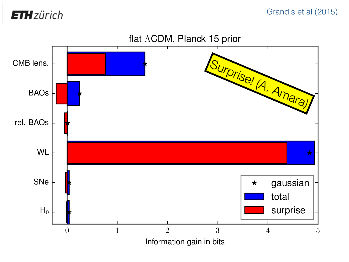**ETH** zürich

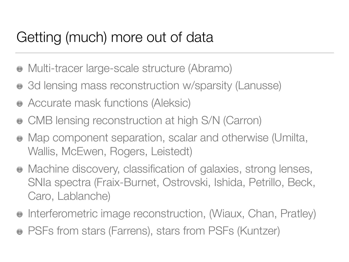## Getting (much) more out of data

- Multi-tracer large-scale structure (Abramo)
- 3d lensing mass reconstruction w/sparsity (Lanusse)
- Accurate mask functions (Aleksic)
- CMB lensing reconstruction at high S/N (Carron)
- Map component separation, scalar and otherwise (Umilta, Wallis, McEwen, Rogers, Leistedt)
- Machine discovery, classification of galaxies, strong lenses, SNIa spectra (Fraix-Burnet, Ostrovski, Ishida, Petrillo, Beck, Caro, Lablanche)
- Interferometric image reconstruction, (Wiaux, Chan, Pratley)  $\bigcirc$
- PSFs from stars (Farrens), stars from PSFs (Kuntzer)